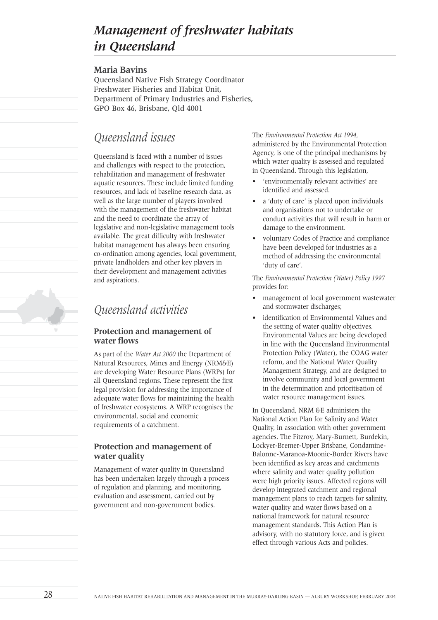# *Management of freshwater habitats in Queensland*

#### **Maria Bavins**

Queensland Native Fish Strategy Coordinator Freshwater Fisheries and Habitat Unit, Department of Primary Industries and Fisheries, GPO Box 46, Brisbane, Qld 4001

# *Queensland issues*

Queensland is faced with a number of issues and challenges with respect to the protection, rehabilitation and management of freshwater aquatic resources. These include limited funding resources, and lack of baseline research data, as well as the large number of players involved with the management of the freshwater habitat and the need to coordinate the array of legislative and non-legislative management tools available. The great difficulty with freshwater habitat management has always been ensuring co-ordination among agencies, local government, private landholders and other key players in their development and management activities and aspirations.

# *Queensland activities*

### **Protection and management of water flows**

As part of the *Water Act 2000* the Department of Natural Resources, Mines and Energy (NRM&E) are developing Water Resource Plans (WRPs) for all Queensland regions. These represent the first legal provision for addressing the importance of adequate water flows for maintaining the health of freshwater ecosystems. A WRP recognises the environmental, social and economic requirements of a catchment.

## **Protection and management of water quality**

Management of water quality in Queensland has been undertaken largely through a process of regulation and planning, and monitoring, evaluation and assessment, carried out by government and non-government bodies.

The *Environmental Protection Act 1994,* administered by the Environmental Protection Agency, is one of the principal mechanisms by which water quality is assessed and regulated in Queensland. Through this legislation,

- 'environmentally relevant activities' are identified and assessed.
- a 'duty of care' is placed upon individuals and organisations not to undertake or conduct activities that will result in harm or damage to the environment.
- voluntary Codes of Practice and compliance have been developed for industries as a method of addressing the environmental 'duty of care'.

The *Environmental Protection (Water) Policy 1997* provides for:

- management of local government wastewater and stormwater discharges;
- identification of Environmental Values and the setting of water quality objectives. Environmental Values are being developed in line with the Queensland Environmental Protection Policy (Water), the COAG water reform, and the National Water Quality Management Strategy, and are designed to involve community and local government in the determination and prioritisation of water resource management issues.

In Queensland, NRM &E administers the National Action Plan for Salinity and Water Quality, in association with other government agencies. The Fitzroy, Mary-Burnett, Burdekin, Lockyer-Bremer-Upper Brisbane, Condamine-Balonne-Maranoa-Moonie-Border Rivers have been identified as key areas and catchments where salinity and water quality pollution were high priority issues. Affected regions will develop integrated catchment and regional management plans to reach targets for salinity, water quality and water flows based on a national framework for natural resource management standards. This Action Plan is advisory, with no statutory force, and is given effect through various Acts and policies.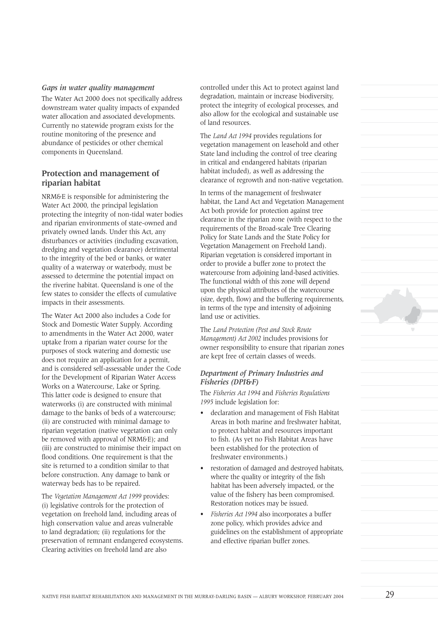#### *Gaps in water quality management*

The Water Act 2000 does not specifically address downstream water quality impacts of expanded water allocation and associated developments. Currently no statewide program exists for the routine monitoring of the presence and abundance of pesticides or other chemical components in Queensland.

### **Protection and management of riparian habitat**

NRM&E is responsible for administering the Water Act 2000, the principal legislation protecting the integrity of non-tidal water bodies and riparian environments of state-owned and privately owned lands. Under this Act, any disturbances or activities (including excavation, dredging and vegetation clearance) detrimental to the integrity of the bed or banks, or water quality of a waterway or waterbody, must be assessed to determine the potential impact on the riverine habitat. Queensland is one of the few states to consider the effects of cumulative impacts in their assessments.

The Water Act 2000 also includes a Code for Stock and Domestic Water Supply. According to amendments in the Water Act 2000, water uptake from a riparian water course for the purposes of stock watering and domestic use does not require an application for a permit, and is considered self-assessable under the Code for the Development of Riparian Water Access Works on a Watercourse, Lake or Spring. This latter code is designed to ensure that waterworks (i) are constructed with minimal damage to the banks of beds of a watercourse; (ii) are constructed with minimal damage to riparian vegetation (native vegetation can only be removed with approval of NRM&E); and (iii) are constructed to minimise their impact on flood conditions. One requirement is that the site is returned to a condition similar to that before construction. Any damage to bank or waterway beds has to be repaired.

The *Vegetation Management Act 1999* provides: (i) legislative controls for the protection of vegetation on freehold land, including areas of high conservation value and areas vulnerable to land degradation; (ii) regulations for the preservation of remnant endangered ecosystems. Clearing activities on freehold land are also

controlled under this Act to protect against land degradation, maintain or increase biodiversity, protect the integrity of ecological processes, and also allow for the ecological and sustainable use of land resources.

The *Land Act 1994* provides regulations for vegetation management on leasehold and other State land including the control of tree clearing in critical and endangered habitats (riparian habitat included), as well as addressing the clearance of regrowth and non-native vegetation.

In terms of the management of freshwater habitat, the Land Act and Vegetation Management Act both provide for protection against tree clearance in the riparian zone (with respect to the requirements of the Broad-scale Tree Clearing Policy for State Lands and the State Policy for Vegetation Management on Freehold Land). Riparian vegetation is considered important in order to provide a buffer zone to protect the watercourse from adjoining land-based activities. The functional width of this zone will depend upon the physical attributes of the watercourse (size, depth, flow) and the buffering requirements, in terms of the type and intensity of adjoining land use or activities.

The *Land Protection (Pest and Stock Route Management) Act 2002* includes provisions for owner responsibility to ensure that riparian zones are kept free of certain classes of weeds.

#### *Department of Primary Industries and Fisheries (DPI***&***F)*

The *Fisheries Act 1994* and *Fisheries Regulations 1995* include legislation for:

- declaration and management of Fish Habitat Areas in both marine and freshwater habitat, to protect habitat and resources important to fish. (As yet no Fish Habitat Areas have been established for the protection of freshwater environments.)
- restoration of damaged and destroyed habitats, where the quality or integrity of the fish habitat has been adversely impacted, or the value of the fishery has been compromised. Restoration notices may be issued.
- *Fisheries Act 1994* also incorporates a buffer zone policy, which provides advice and guidelines on the establishment of appropriate and effective riparian buffer zones.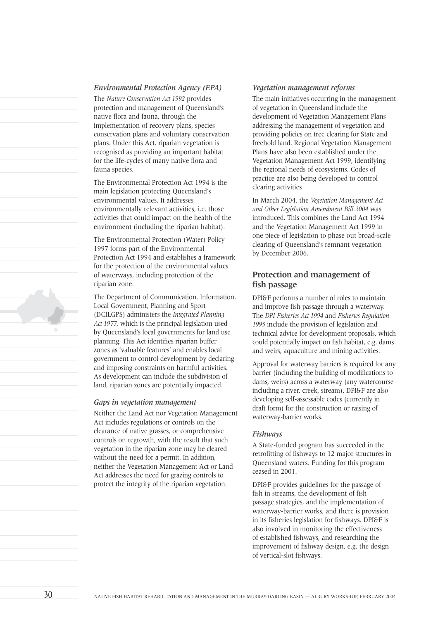#### *Environmental Protection Agency (EPA)*

The *Nature Conservation Act 1992* provides protection and management of Queensland's native flora and fauna, through the implementation of recovery plans, species conservation plans and voluntary conservation plans. Under this Act, riparian vegetation is recognised as providing an important habitat for the life-cycles of many native flora and fauna species.

The Environmental Protection Act 1994 is the main legislation protecting Queensland's environmental values. It addresses environmentally relevant activities, i.e. those activities that could impact on the health of the environment (including the riparian habitat).

The Environmental Protection (Water) Policy 1997 forms part of the Environmental Protection Act 1994 and establishes a framework for the protection of the environmental values of waterways, including protection of the riparian zone.

The Department of Communication, Information, Local Government, Planning and Sport (DCILGPS) administers the *Integrated Planning Act 1977*, which is the principal legislation used by Queensland's local governments for land use planning. This Act identifies riparian buffer zones as 'valuable features' and enables local government to control development by declaring and imposing constraints on harmful activities. As development can include the subdivision of land, riparian zones are potentially impacted.

#### *Gaps in vegetation management*

Neither the Land Act nor Vegetation Management Act includes regulations or controls on the clearance of native grasses, or comprehensive controls on regrowth, with the result that such vegetation in the riparian zone may be cleared without the need for a permit. In addition, neither the Vegetation Management Act or Land Act addresses the need for grazing controls to protect the integrity of the riparian vegetation.

#### *Vegetation management reforms*

The main initiatives occurring in the management of vegetation in Queensland include the development of Vegetation Management Plans addressing the management of vegetation and providing policies on tree clearing for State and freehold land. Regional Vegetation Management Plans have also been established under the Vegetation Management Act 1999, identifying the regional needs of ecosystems. Codes of practice are also being developed to control clearing activities

In March 2004, the *Vegetation Management Act and Other Legislation Amendment Bill 2004* was introduced. This combines the Land Act 1994 and the Vegetation Management Act 1999 in one piece of legislation to phase out broad-scale clearing of Queensland's remnant vegetation by December 2006.

#### **Protection and management of fish passage**

DPI&F performs a number of roles to maintain and improve fish passage through a waterway. The *DPI Fisheries Act 1994* and *Fisheries Regulation 1995* include the provision of legislation and technical advice for development proposals, which could potentially impact on fish habitat, e.g. dams and weirs, aquaculture and mining activities.

Approval for waterway barriers is required for any barrier (including the building of modifications to dams, weirs) across a waterway (any watercourse including a river, creek, stream). DPI&F are also developing self-assessable codes (currently in draft form) for the construction or raising of waterway-barrier works.

#### *Fishways*

A State-funded program has succeeded in the retrofitting of fishways to 12 major structures in Queensland waters. Funding for this program ceased in 2001.

DPI&F provides guidelines for the passage of fish in streams, the development of fish passage strategies, and the implementation of waterway-barrier works, and there is provision in its fisheries legislation for fishways. DPI&F is also involved in monitoring the effectiveness of established fishways, and researching the improvement of fishway design, e.g. the design of vertical-slot fishways.